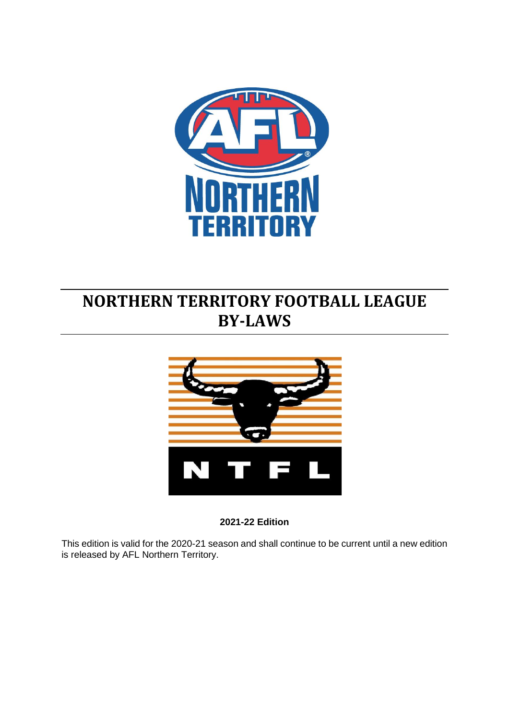

# <span id="page-0-0"></span>**NORTHERN TERRITORY FOOTBALL LEAGUE BY-LAWS**



**2021-22 Edition**

This edition is valid for the 2020-21 season and shall continue to be current until a new edition is released by AFL Northern Territory.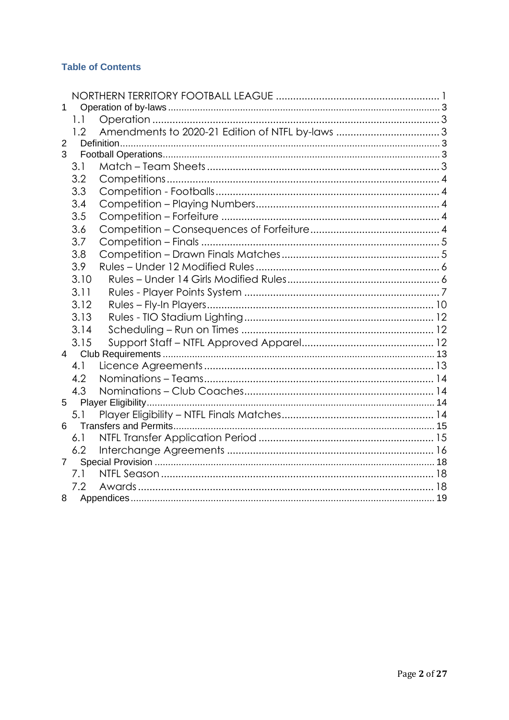### **Table of Contents**

| 1              |               |  |  |  |
|----------------|---------------|--|--|--|
|                | 1.1           |  |  |  |
|                | $1.2^{\circ}$ |  |  |  |
| 2              |               |  |  |  |
| 3              |               |  |  |  |
|                | 3.1           |  |  |  |
|                | 3.2           |  |  |  |
|                | 3.3           |  |  |  |
|                | 3.4           |  |  |  |
|                | 3.5           |  |  |  |
|                | 3.6           |  |  |  |
|                | 3.7           |  |  |  |
|                | 3.8           |  |  |  |
|                | 3.9           |  |  |  |
|                | 3.10          |  |  |  |
|                | 3.11          |  |  |  |
|                | 3.12          |  |  |  |
|                | 3.13          |  |  |  |
|                | 3.14          |  |  |  |
|                | 3.15          |  |  |  |
|                |               |  |  |  |
|                | 4.1           |  |  |  |
|                | 4.2           |  |  |  |
|                | 4.3           |  |  |  |
| 5              |               |  |  |  |
|                | 5.1           |  |  |  |
| 6              |               |  |  |  |
|                | 6.1           |  |  |  |
|                | 6.2           |  |  |  |
| $\overline{7}$ |               |  |  |  |
|                | 7.1           |  |  |  |
|                | 7.2           |  |  |  |
| 8              |               |  |  |  |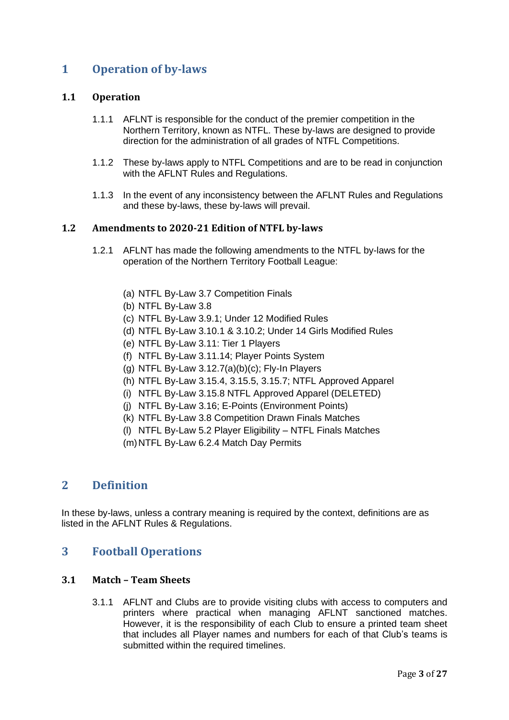### <span id="page-2-0"></span>**1 Operation of by-laws**

### <span id="page-2-1"></span>**1.1 Operation**

- 1.1.1 AFLNT is responsible for the conduct of the premier competition in the Northern Territory, known as NTFL. These by-laws are designed to provide direction for the administration of all grades of NTFL Competitions.
- 1.1.2 These by-laws apply to NTFL Competitions and are to be read in conjunction with the AFLNT Rules and Regulations.
- 1.1.3 In the event of any inconsistency between the AFLNT Rules and Regulations and these by-laws, these by-laws will prevail.

### <span id="page-2-2"></span>**1.2 Amendments to 2020-21 Edition of NTFL by-laws**

- 1.2.1 AFLNT has made the following amendments to the NTFL by-laws for the operation of the Northern Territory Football League:
	- (a) NTFL By-Law 3.7 Competition Finals
	- (b) NTFL By-Law 3.8
	- (c) NTFL By-Law 3.9.1; Under 12 Modified Rules
	- (d) NTFL By-Law 3.10.1 & 3.10.2; Under 14 Girls Modified Rules
	- (e) NTFL By-Law 3.11: Tier 1 Players
	- (f) NTFL By-Law 3.11.14; Player Points System
	- (g) NTFL By-Law 3.12.7(a)(b)(c); Fly-In Players
	- (h) NTFL By-Law 3.15.4, 3.15.5, 3.15.7; NTFL Approved Apparel
	- (i) NTFL By-Law 3.15.8 NTFL Approved Apparel (DELETED)
	- (j) NTFL By-Law 3.16; E-Points (Environment Points)
	- (k) NTFL By-Law 3.8 Competition Drawn Finals Matches
	- (l) NTFL By-Law 5.2 Player Eligibility NTFL Finals Matches
	- (m)NTFL By-Law 6.2.4 Match Day Permits

### <span id="page-2-3"></span>**2 Definition**

In these by-laws, unless a contrary meaning is required by the context, definitions are as listed in the AFLNT Rules & Regulations.

### <span id="page-2-4"></span>**3 Football Operations**

### <span id="page-2-5"></span>**3.1 Match – Team Sheets**

3.1.1 AFLNT and Clubs are to provide visiting clubs with access to computers and printers where practical when managing AFLNT sanctioned matches. However, it is the responsibility of each Club to ensure a printed team sheet that includes all Player names and numbers for each of that Club's teams is submitted within the required timelines.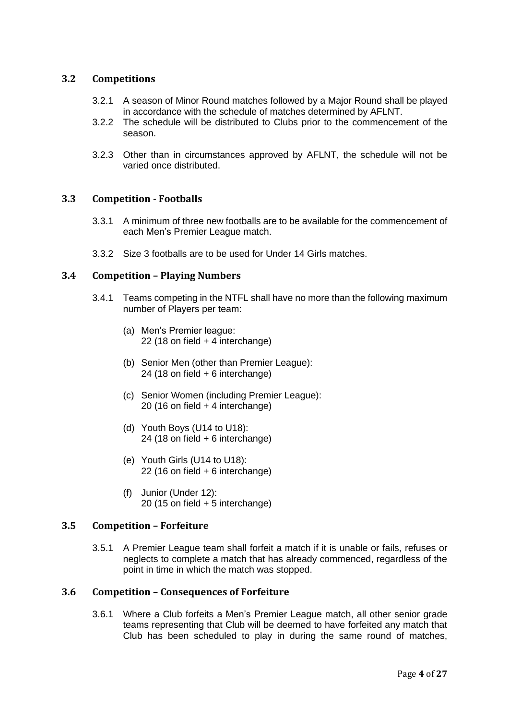### <span id="page-3-0"></span>**3.2 Competitions**

- 3.2.1 A season of Minor Round matches followed by a Major Round shall be played in accordance with the schedule of matches determined by AFLNT.
- 3.2.2 The schedule will be distributed to Clubs prior to the commencement of the season.
- 3.2.3 Other than in circumstances approved by AFLNT, the schedule will not be varied once distributed.

### <span id="page-3-1"></span>**3.3 Competition - Footballs**

- 3.3.1 A minimum of three new footballs are to be available for the commencement of each Men's Premier League match.
- 3.3.2 Size 3 footballs are to be used for Under 14 Girls matches.

### <span id="page-3-2"></span>**3.4 Competition – Playing Numbers**

- 3.4.1 Teams competing in the NTFL shall have no more than the following maximum number of Players per team:
	- (a) Men's Premier league: 22 (18 on field + 4 interchange)
	- (b) Senior Men (other than Premier League): 24 (18 on field + 6 interchange)
	- (c) Senior Women (including Premier League): 20 (16 on field + 4 interchange)
	- (d) Youth Boys (U14 to U18): 24 (18 on field + 6 interchange)
	- (e) Youth Girls (U14 to U18): 22 (16 on field + 6 interchange)
	- (f) Junior (Under 12): 20 (15 on field + 5 interchange)

### <span id="page-3-3"></span>**3.5 Competition – Forfeiture**

3.5.1 A Premier League team shall forfeit a match if it is unable or fails, refuses or neglects to complete a match that has already commenced, regardless of the point in time in which the match was stopped.

#### <span id="page-3-4"></span>**3.6 Competition – Consequences of Forfeiture**

3.6.1 Where a Club forfeits a Men's Premier League match, all other senior grade teams representing that Club will be deemed to have forfeited any match that Club has been scheduled to play in during the same round of matches,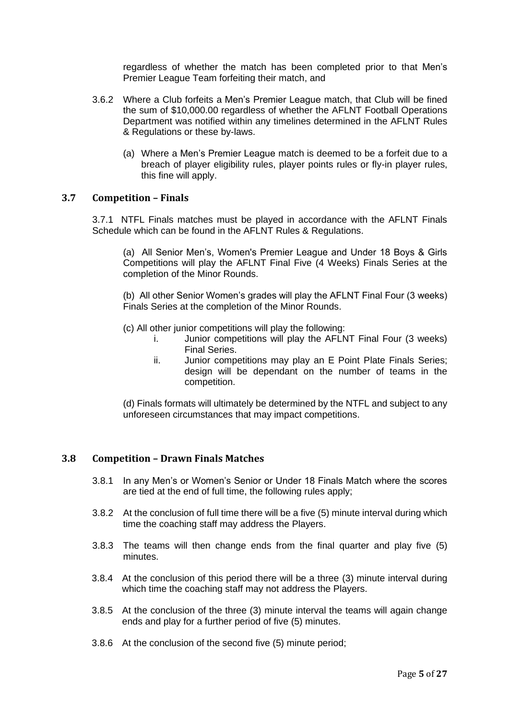regardless of whether the match has been completed prior to that Men's Premier League Team forfeiting their match, and

- 3.6.2 Where a Club forfeits a Men's Premier League match, that Club will be fined the sum of \$10,000.00 regardless of whether the AFLNT Football Operations Department was notified within any timelines determined in the AFLNT Rules & Regulations or these by-laws.
	- (a) Where a Men's Premier League match is deemed to be a forfeit due to a breach of player eligibility rules, player points rules or fly-in player rules, this fine will apply.

### <span id="page-4-0"></span>**3.7 Competition – Finals**

3.7.1 NTFL Finals matches must be played in accordance with the AFLNT Finals Schedule which can be found in the AFLNT Rules & Regulations.

(a) All Senior Men's, Women's Premier League and Under 18 Boys & Girls Competitions will play the AFLNT Final Five (4 Weeks) Finals Series at the completion of the Minor Rounds.

(b) All other Senior Women's grades will play the AFLNT Final Four (3 weeks) Finals Series at the completion of the Minor Rounds.

- (c) All other junior competitions will play the following:
	- i. Junior competitions will play the AFLNT Final Four (3 weeks) Final Series.
	- ii. Junior competitions may play an E Point Plate Finals Series; design will be dependant on the number of teams in the competition.

(d) Finals formats will ultimately be determined by the NTFL and subject to any unforeseen circumstances that may impact competitions.

#### <span id="page-4-1"></span>**3.8 Competition – Drawn Finals Matches**

- 3.8.1 In any Men's or Women's Senior or Under 18 Finals Match where the scores are tied at the end of full time, the following rules apply;
- 3.8.2 At the conclusion of full time there will be a five (5) minute interval during which time the coaching staff may address the Players.
- 3.8.3 The teams will then change ends from the final quarter and play five (5) minutes.
- 3.8.4 At the conclusion of this period there will be a three (3) minute interval during which time the coaching staff may not address the Players.
- 3.8.5 At the conclusion of the three (3) minute interval the teams will again change ends and play for a further period of five (5) minutes.
- 3.8.6 At the conclusion of the second five (5) minute period;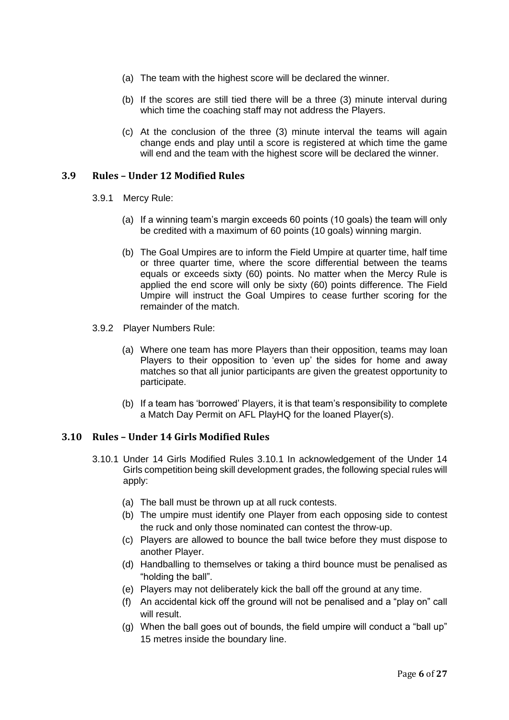- (a) The team with the highest score will be declared the winner.
- (b) If the scores are still tied there will be a three (3) minute interval during which time the coaching staff may not address the Players.
- (c) At the conclusion of the three (3) minute interval the teams will again change ends and play until a score is registered at which time the game will end and the team with the highest score will be declared the winner.

### <span id="page-5-0"></span>**3.9 Rules – Under 12 Modified Rules**

- 3.9.1 Mercy Rule:
	- (a) If a winning team's margin exceeds 60 points (10 goals) the team will only be credited with a maximum of 60 points (10 goals) winning margin.
	- (b) The Goal Umpires are to inform the Field Umpire at quarter time, half time or three quarter time, where the score differential between the teams equals or exceeds sixty (60) points. No matter when the Mercy Rule is applied the end score will only be sixty (60) points difference. The Field Umpire will instruct the Goal Umpires to cease further scoring for the remainder of the match.
- 3.9.2 Player Numbers Rule:
	- (a) Where one team has more Players than their opposition, teams may loan Players to their opposition to 'even up' the sides for home and away matches so that all junior participants are given the greatest opportunity to participate.
	- (b) If a team has 'borrowed' Players, it is that team's responsibility to complete a Match Day Permit on AFL PlayHQ for the loaned Player(s).

### <span id="page-5-1"></span>**3.10 Rules – Under 14 Girls Modified Rules**

- 3.10.1 Under 14 Girls Modified Rules 3.10.1 In acknowledgement of the Under 14 Girls competition being skill development grades, the following special rules will apply:
	- (a) The ball must be thrown up at all ruck contests.
	- (b) The umpire must identify one Player from each opposing side to contest the ruck and only those nominated can contest the throw-up.
	- (c) Players are allowed to bounce the ball twice before they must dispose to another Player.
	- (d) Handballing to themselves or taking a third bounce must be penalised as "holding the ball".
	- (e) Players may not deliberately kick the ball off the ground at any time.
	- (f) An accidental kick off the ground will not be penalised and a "play on" call will result.
	- (g) When the ball goes out of bounds, the field umpire will conduct a "ball up" 15 metres inside the boundary line.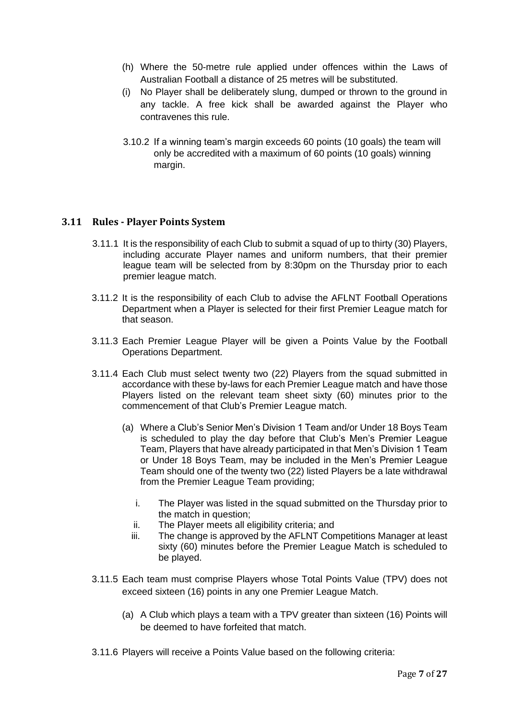- (h) Where the 50-metre rule applied under offences within the Laws of Australian Football a distance of 25 metres will be substituted.
- (i) No Player shall be deliberately slung, dumped or thrown to the ground in any tackle. A free kick shall be awarded against the Player who contravenes this rule.
- 3.10.2 If a winning team's margin exceeds 60 points (10 goals) the team will only be accredited with a maximum of 60 points (10 goals) winning margin.

### <span id="page-6-0"></span>**3.11 Rules - Player Points System**

- 3.11.1 It is the responsibility of each Club to submit a squad of up to thirty (30) Players, including accurate Player names and uniform numbers, that their premier league team will be selected from by 8:30pm on the Thursday prior to each premier league match.
- 3.11.2 It is the responsibility of each Club to advise the AFLNT Football Operations Department when a Player is selected for their first Premier League match for that season.
- 3.11.3 Each Premier League Player will be given a Points Value by the Football Operations Department.
- 3.11.4 Each Club must select twenty two (22) Players from the squad submitted in accordance with these by-laws for each Premier League match and have those Players listed on the relevant team sheet sixty (60) minutes prior to the commencement of that Club's Premier League match.
	- (a) Where a Club's Senior Men's Division 1 Team and/or Under 18 Boys Team is scheduled to play the day before that Club's Men's Premier League Team, Players that have already participated in that Men's Division 1 Team or Under 18 Boys Team, may be included in the Men's Premier League Team should one of the twenty two (22) listed Players be a late withdrawal from the Premier League Team providing;
		- i. The Player was listed in the squad submitted on the Thursday prior to the match in question;
		- ii. The Player meets all eligibility criteria; and
		- iii. The change is approved by the AFLNT Competitions Manager at least sixty (60) minutes before the Premier League Match is scheduled to be played.
- 3.11.5 Each team must comprise Players whose Total Points Value (TPV) does not exceed sixteen (16) points in any one Premier League Match.
	- (a) A Club which plays a team with a TPV greater than sixteen (16) Points will be deemed to have forfeited that match.
- <span id="page-6-1"></span>3.11.6 Players will receive a Points Value based on the following criteria: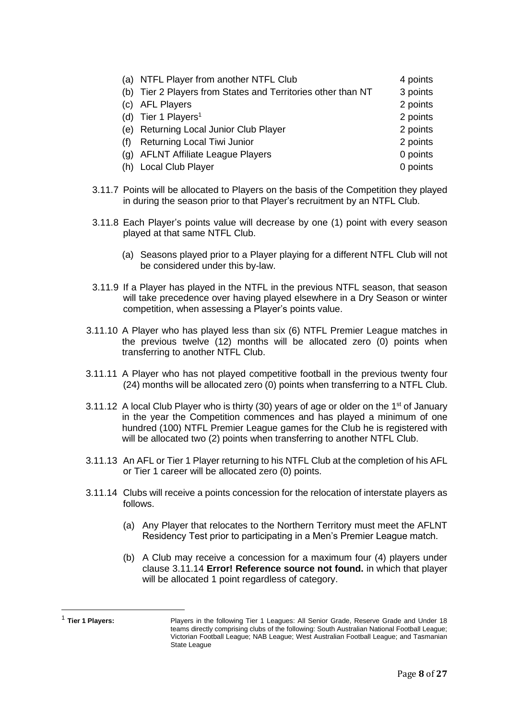|     | (a) NTFL Player from another NTFL Club                       | 4 points |
|-----|--------------------------------------------------------------|----------|
|     | (b) Tier 2 Players from States and Territories other than NT | 3 points |
|     | (c) AFL Players                                              | 2 points |
|     | (d) Tier 1 Players <sup>1</sup>                              | 2 points |
|     | (e) Returning Local Junior Club Player                       | 2 points |
| (f) | <b>Returning Local Tiwi Junior</b>                           | 2 points |
|     | (g) AFLNT Affiliate League Players                           | 0 points |
|     | (h) Local Club Player                                        | 0 points |

- 3.11.7 Points will be allocated to Players on the basis of the Competition they played in during the season prior to that Player's recruitment by an NTFL Club.
- 3.11.8 Each Player's points value will decrease by one (1) point with every season played at that same NTFL Club.
	- (a) Seasons played prior to a Player playing for a different NTFL Club will not be considered under this by-law.
- 3.11.9 If a Player has played in the NTFL in the previous NTFL season, that season will take precedence over having played elsewhere in a Dry Season or winter competition, when assessing a Player's points value.
- 3.11.10 A Player who has played less than six (6) NTFL Premier League matches in the previous twelve (12) months will be allocated zero (0) points when transferring to another NTFL Club.
- 3.11.11 A Player who has not played competitive football in the previous twenty four (24) months will be allocated zero (0) points when transferring to a NTFL Club.
- 3.11.12 A local Club Player who is thirty (30) years of age or older on the 1<sup>st</sup> of January in the year the Competition commences and has played a minimum of one hundred (100) NTFL Premier League games for the Club he is registered with will be allocated two (2) points when transferring to another NTFL Club.
- 3.11.13 An AFL or Tier 1 Player returning to his NTFL Club at the completion of his AFL or Tier 1 career will be allocated zero (0) points.
- 3.11.14 Clubs will receive a points concession for the relocation of interstate players as follows.
	- (a) Any Player that relocates to the Northern Territory must meet the AFLNT Residency Test prior to participating in a Men's Premier League match.
	- (b) A Club may receive a concession for a maximum four (4) players under clause 3.11.14 **Error! Reference source not found.** in which that player will be allocated 1 point regardless of category.

 $<sup>1</sup>$  Tier 1 Players:</sup>

Players in the following Tier 1 Leagues: All Senior Grade, Reserve Grade and Under 18 teams directly comprising clubs of the following: South Australian National Football League; Victorian Football League; NAB League; West Australian Football League; and Tasmanian State League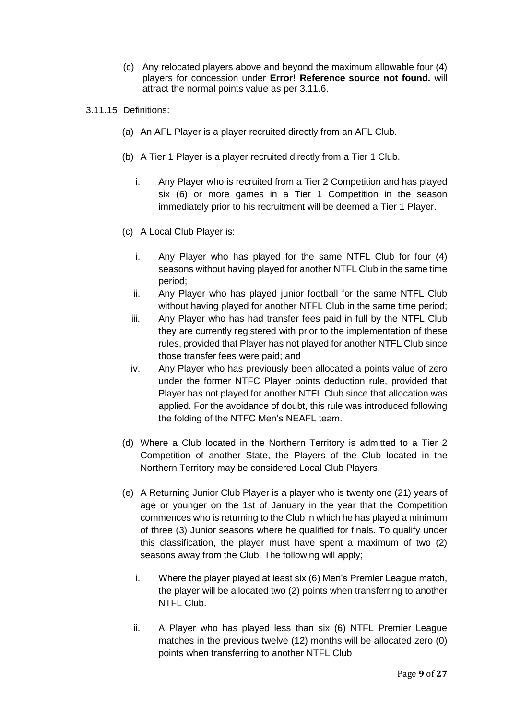- (c) Any relocated players above and beyond the maximum allowable four (4) players for concession under **Error! Reference source not found.** will attract the normal points value as per [3.11.6.](#page-6-1)
- 3.11.15 Definitions:
	- (a) An AFL Player is a player recruited directly from an AFL Club.
	- (b) A Tier 1 Player is a player recruited directly from a Tier 1 Club.
		- i. Any Player who is recruited from a Tier 2 Competition and has played six (6) or more games in a Tier 1 Competition in the season immediately prior to his recruitment will be deemed a Tier 1 Player.
	- (c) A Local Club Player is:
		- i. Any Player who has played for the same NTFL Club for four (4) seasons without having played for another NTFL Club in the same time period;
		- ii. Any Player who has played junior football for the same NTFL Club without having played for another NTFL Club in the same time period;
		- iii. Any Player who has had transfer fees paid in full by the NTFL Club they are currently registered with prior to the implementation of these rules, provided that Player has not played for another NTFL Club since those transfer fees were paid; and
		- iv. Any Player who has previously been allocated a points value of zero under the former NTFC Player points deduction rule, provided that Player has not played for another NTFL Club since that allocation was applied. For the avoidance of doubt, this rule was introduced following the folding of the NTFC Men's NEAFL team.
	- (d) Where a Club located in the Northern Territory is admitted to a Tier 2 Competition of another State, the Players of the Club located in the Northern Territory may be considered Local Club Players.
	- (e) A Returning Junior Club Player is a player who is twenty one (21) years of age or younger on the 1st of January in the year that the Competition commences who is returning to the Club in which he has played a minimum of three (3) Junior seasons where he qualified for finals. To qualify under this classification, the player must have spent a maximum of two (2) seasons away from the Club. The following will apply;
		- i. Where the player played at least six (6) Men's Premier League match, the player will be allocated two (2) points when transferring to another NTFL Club.
		- ii. A Player who has played less than six (6) NTFL Premier League matches in the previous twelve (12) months will be allocated zero (0) points when transferring to another NTFL Club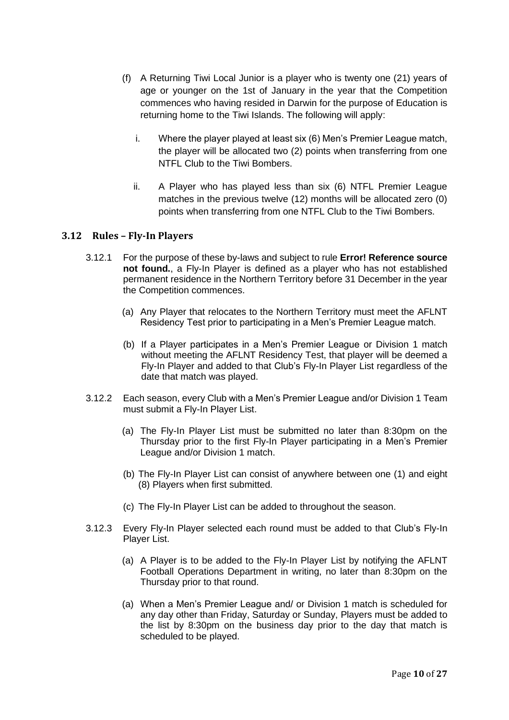- (f) A Returning Tiwi Local Junior is a player who is twenty one (21) years of age or younger on the 1st of January in the year that the Competition commences who having resided in Darwin for the purpose of Education is returning home to the Tiwi Islands. The following will apply:
	- i. Where the player played at least six (6) Men's Premier League match, the player will be allocated two (2) points when transferring from one NTFL Club to the Tiwi Bombers.
	- ii. A Player who has played less than six (6) NTFL Premier League matches in the previous twelve (12) months will be allocated zero (0) points when transferring from one NTFL Club to the Tiwi Bombers.

### <span id="page-9-0"></span>**3.12 Rules – Fly-In Players**

- 3.12.1 For the purpose of these by-laws and subject to rule **Error! Reference source not found.**, a Fly-In Player is defined as a player who has not established permanent residence in the Northern Territory before 31 December in the year the Competition commences.
	- (a) Any Player that relocates to the Northern Territory must meet the AFLNT Residency Test prior to participating in a Men's Premier League match.
	- (b) If a Player participates in a Men's Premier League or Division 1 match without meeting the AFLNT Residency Test, that player will be deemed a Fly-In Player and added to that Club's Fly-In Player List regardless of the date that match was played.
- 3.12.2 Each season, every Club with a Men's Premier League and/or Division 1 Team must submit a Fly-In Player List.
	- (a) The Fly-In Player List must be submitted no later than 8:30pm on the Thursday prior to the first Fly-In Player participating in a Men's Premier League and/or Division 1 match.
	- (b) The Fly-In Player List can consist of anywhere between one (1) and eight (8) Players when first submitted.
	- (c) The Fly-In Player List can be added to throughout the season.
- 3.12.3 Every Fly-In Player selected each round must be added to that Club's Fly-In Player List.
	- (a) A Player is to be added to the Fly-In Player List by notifying the AFLNT Football Operations Department in writing, no later than 8:30pm on the Thursday prior to that round.
	- (a) When a Men's Premier League and/ or Division 1 match is scheduled for any day other than Friday, Saturday or Sunday, Players must be added to the list by 8:30pm on the business day prior to the day that match is scheduled to be played.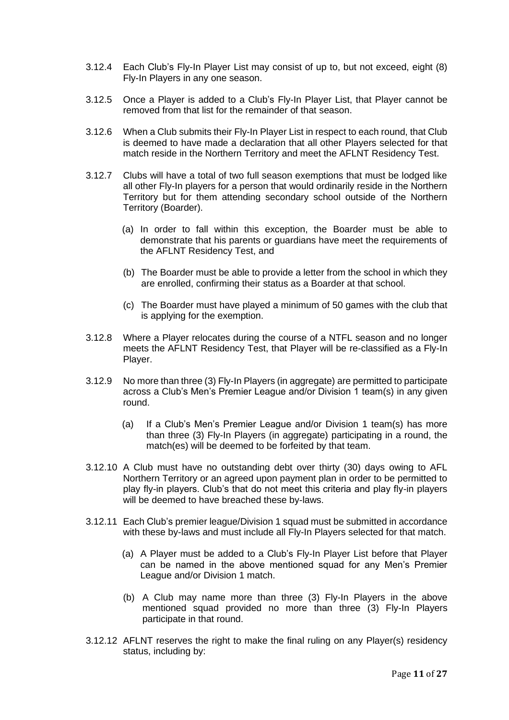- 3.12.4 Each Club's Fly-In Player List may consist of up to, but not exceed, eight (8) Fly-In Players in any one season.
- 3.12.5 Once a Player is added to a Club's Fly-In Player List, that Player cannot be removed from that list for the remainder of that season.
- 3.12.6 When a Club submits their Fly-In Player List in respect to each round, that Club is deemed to have made a declaration that all other Players selected for that match reside in the Northern Territory and meet the AFLNT Residency Test.
- 3.12.7 Clubs will have a total of two full season exemptions that must be lodged like all other Fly-In players for a person that would ordinarily reside in the Northern Territory but for them attending secondary school outside of the Northern Territory (Boarder).
	- (a) In order to fall within this exception, the Boarder must be able to demonstrate that his parents or guardians have meet the requirements of the AFLNT Residency Test, and
	- (b) The Boarder must be able to provide a letter from the school in which they are enrolled, confirming their status as a Boarder at that school.
	- (c) The Boarder must have played a minimum of 50 games with the club that is applying for the exemption.
- 3.12.8 Where a Player relocates during the course of a NTFL season and no longer meets the AFLNT Residency Test, that Player will be re-classified as a Fly-In Player.
- 3.12.9 No more than three (3) Fly-In Players (in aggregate) are permitted to participate across a Club's Men's Premier League and/or Division 1 team(s) in any given round.
	- (a) If a Club's Men's Premier League and/or Division 1 team(s) has more than three (3) Fly-In Players (in aggregate) participating in a round, the match(es) will be deemed to be forfeited by that team.
- 3.12.10 A Club must have no outstanding debt over thirty (30) days owing to AFL Northern Territory or an agreed upon payment plan in order to be permitted to play fly-in players. Club's that do not meet this criteria and play fly-in players will be deemed to have breached these by-laws.
- 3.12.11 Each Club's premier league/Division 1 squad must be submitted in accordance with these by-laws and must include all Fly-In Players selected for that match.
	- (a) A Player must be added to a Club's Fly-In Player List before that Player can be named in the above mentioned squad for any Men's Premier League and/or Division 1 match.
	- (b) A Club may name more than three (3) Fly-In Players in the above mentioned squad provided no more than three (3) Fly-In Players participate in that round.
- 3.12.12 AFLNT reserves the right to make the final ruling on any Player(s) residency status, including by: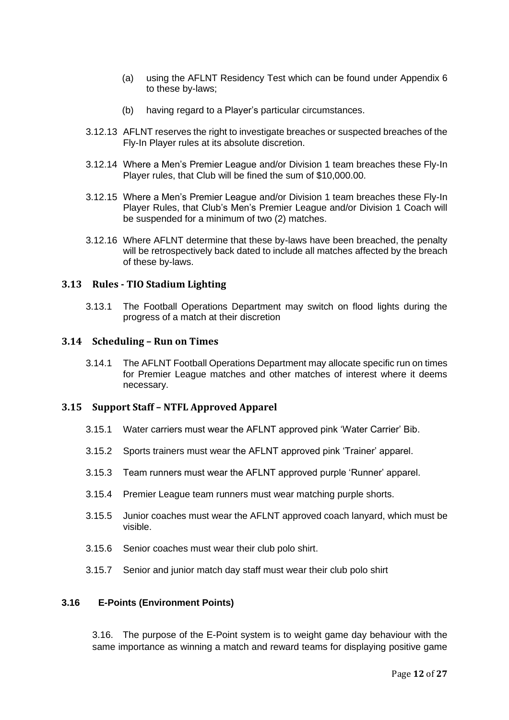- (a) using the AFLNT Residency Test which can be found under Appendix 6 to these by-laws;
- (b) having regard to a Player's particular circumstances.
- 3.12.13 AFLNT reserves the right to investigate breaches or suspected breaches of the Fly-In Player rules at its absolute discretion.
- 3.12.14 Where a Men's Premier League and/or Division 1 team breaches these Fly-In Player rules, that Club will be fined the sum of \$10,000.00.
- 3.12.15 Where a Men's Premier League and/or Division 1 team breaches these Fly-In Player Rules, that Club's Men's Premier League and/or Division 1 Coach will be suspended for a minimum of two (2) matches.
- 3.12.16 Where AFLNT determine that these by-laws have been breached, the penalty will be retrospectively back dated to include all matches affected by the breach of these by-laws.

### <span id="page-11-0"></span>**3.13 Rules - TIO Stadium Lighting**

3.13.1 The Football Operations Department may switch on flood lights during the progress of a match at their discretion

### <span id="page-11-1"></span>**3.14 Scheduling – Run on Times**

3.14.1 The AFLNT Football Operations Department may allocate specific run on times for Premier League matches and other matches of interest where it deems necessary.

### <span id="page-11-2"></span>**3.15 Support Staff – NTFL Approved Apparel**

- 3.15.1 Water carriers must wear the AFLNT approved pink 'Water Carrier' Bib.
- 3.15.2 Sports trainers must wear the AFLNT approved pink 'Trainer' apparel.
- 3.15.3 Team runners must wear the AFLNT approved purple 'Runner' apparel.
- 3.15.4 Premier League team runners must wear matching purple shorts.
- 3.15.5 Junior coaches must wear the AFLNT approved coach lanyard, which must be visible.
- 3.15.6 Senior coaches must wear their club polo shirt.
- 3.15.7 Senior and junior match day staff must wear their club polo shirt

#### **3.16 E-Points (Environment Points)**

3.16. The purpose of the E-Point system is to weight game day behaviour with the same importance as winning a match and reward teams for displaying positive game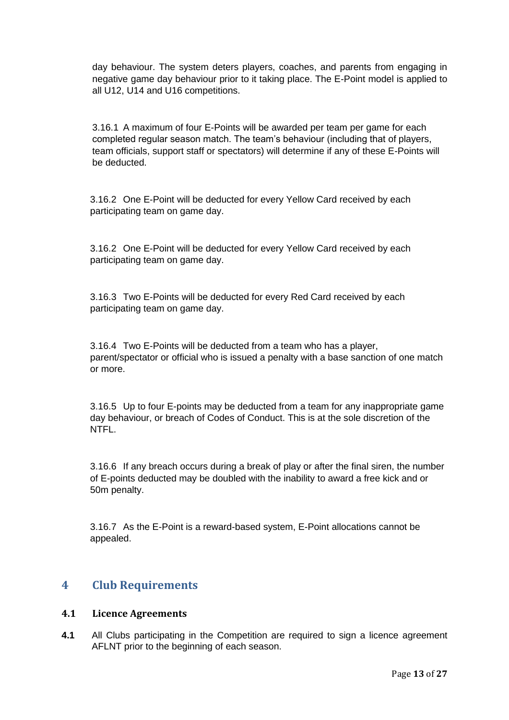day behaviour. The system deters players, coaches, and parents from engaging in negative game day behaviour prior to it taking place. The E-Point model is applied to all U12, U14 and U16 competitions.

3.16.1 A maximum of four E-Points will be awarded per team per game for each completed regular season match. The team's behaviour (including that of players, team officials, support staff or spectators) will determine if any of these E-Points will be deducted.

3.16.2 One E-Point will be deducted for every Yellow Card received by each participating team on game day.

3.16.2 One E-Point will be deducted for every Yellow Card received by each participating team on game day.

3.16.3 Two E-Points will be deducted for every Red Card received by each participating team on game day.

3.16.4 Two E-Points will be deducted from a team who has a player, parent/spectator or official who is issued a penalty with a base sanction of one match or more.

3.16.5 Up to four E-points may be deducted from a team for any inappropriate game day behaviour, or breach of Codes of Conduct. This is at the sole discretion of the NTFL.

3.16.6 If any breach occurs during a break of play or after the final siren, the number of E-points deducted may be doubled with the inability to award a free kick and or 50m penalty.

3.16.7 As the E-Point is a reward-based system, E-Point allocations cannot be appealed.

### <span id="page-12-0"></span>**4 Club Requirements**

### <span id="page-12-1"></span>**4.1 Licence Agreements**

**4.1** All Clubs participating in the Competition are required to sign a licence agreement AFLNT prior to the beginning of each season.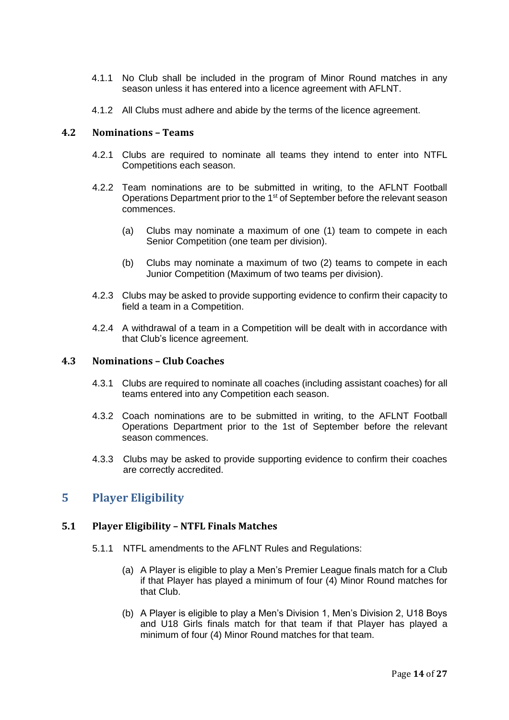- 4.1.1 No Club shall be included in the program of Minor Round matches in any season unless it has entered into a licence agreement with AFLNT.
- 4.1.2 All Clubs must adhere and abide by the terms of the licence agreement.

### <span id="page-13-0"></span>**4.2 Nominations – Teams**

- 4.2.1 Clubs are required to nominate all teams they intend to enter into NTFL Competitions each season.
- 4.2.2 Team nominations are to be submitted in writing, to the AFLNT Football Operations Department prior to the 1st of September before the relevant season commences.
	- (a) Clubs may nominate a maximum of one (1) team to compete in each Senior Competition (one team per division).
	- (b) Clubs may nominate a maximum of two (2) teams to compete in each Junior Competition (Maximum of two teams per division).
- 4.2.3 Clubs may be asked to provide supporting evidence to confirm their capacity to field a team in a Competition.
- 4.2.4 A withdrawal of a team in a Competition will be dealt with in accordance with that Club's licence agreement.

### <span id="page-13-1"></span>**4.3 Nominations – Club Coaches**

- 4.3.1 Clubs are required to nominate all coaches (including assistant coaches) for all teams entered into any Competition each season.
- 4.3.2 Coach nominations are to be submitted in writing, to the AFLNT Football Operations Department prior to the 1st of September before the relevant season commences.
- 4.3.3 Clubs may be asked to provide supporting evidence to confirm their coaches are correctly accredited.

### <span id="page-13-2"></span>**5 Player Eligibility**

### <span id="page-13-3"></span>**5.1 Player Eligibility – NTFL Finals Matches**

- 5.1.1 NTFL amendments to the AFLNT Rules and Regulations:
	- (a) A Player is eligible to play a Men's Premier League finals match for a Club if that Player has played a minimum of four (4) Minor Round matches for that Club.
	- (b) A Player is eligible to play a Men's Division 1, Men's Division 2, U18 Boys and U18 Girls finals match for that team if that Player has played a minimum of four (4) Minor Round matches for that team.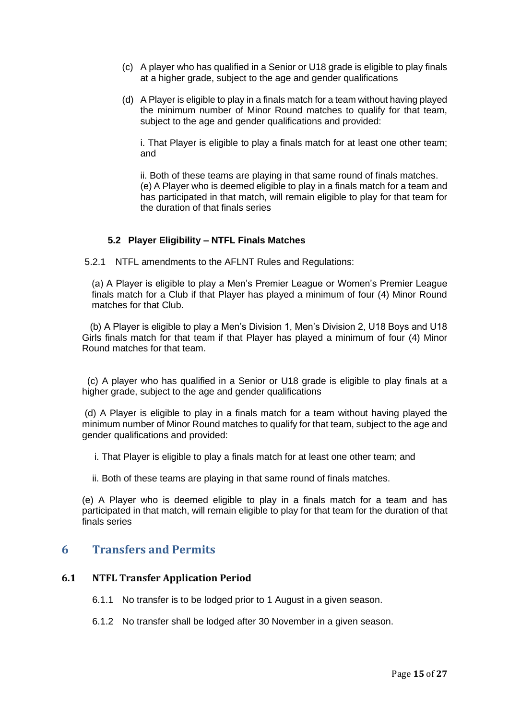- (c) A player who has qualified in a Senior or U18 grade is eligible to play finals at a higher grade, subject to the age and gender qualifications
- (d) A Player is eligible to play in a finals match for a team without having played the minimum number of Minor Round matches to qualify for that team, subject to the age and gender qualifications and provided:

i. That Player is eligible to play a finals match for at least one other team; and

ii. Both of these teams are playing in that same round of finals matches. (e) A Player who is deemed eligible to play in a finals match for a team and has participated in that match, will remain eligible to play for that team for the duration of that finals series

### **5.2 Player Eligibility – NTFL Finals Matches**

5.2.1 NTFL amendments to the AFLNT Rules and Regulations:

(a) A Player is eligible to play a Men's Premier League or Women's Premier League finals match for a Club if that Player has played a minimum of four (4) Minor Round matches for that Club.

 (b) A Player is eligible to play a Men's Division 1, Men's Division 2, U18 Boys and U18 Girls finals match for that team if that Player has played a minimum of four (4) Minor Round matches for that team.

 (c) A player who has qualified in a Senior or U18 grade is eligible to play finals at a higher grade, subject to the age and gender qualifications

(d) A Player is eligible to play in a finals match for a team without having played the minimum number of Minor Round matches to qualify for that team, subject to the age and gender qualifications and provided:

i. That Player is eligible to play a finals match for at least one other team; and

ii. Both of these teams are playing in that same round of finals matches.

(e) A Player who is deemed eligible to play in a finals match for a team and has participated in that match, will remain eligible to play for that team for the duration of that finals series

### <span id="page-14-0"></span>**6 Transfers and Permits**

### <span id="page-14-1"></span>**6.1 NTFL Transfer Application Period**

- 6.1.1 No transfer is to be lodged prior to 1 August in a given season.
- 6.1.2 No transfer shall be lodged after 30 November in a given season.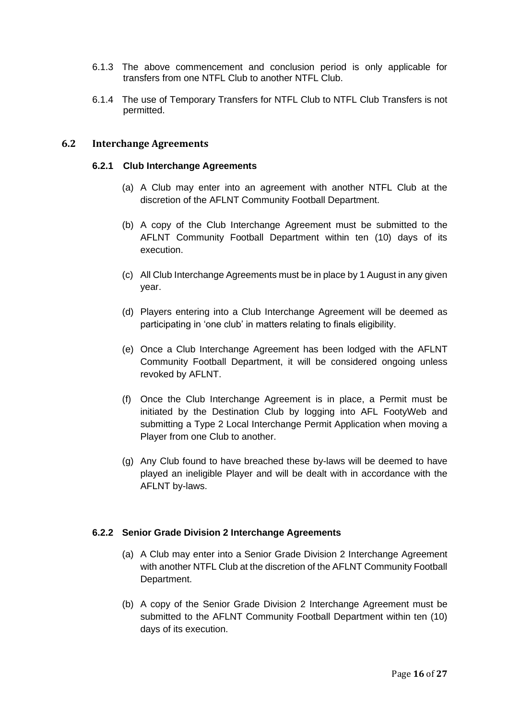- 6.1.3 The above commencement and conclusion period is only applicable for transfers from one NTFL Club to another NTFL Club.
- 6.1.4 The use of Temporary Transfers for NTFL Club to NTFL Club Transfers is not permitted.

### <span id="page-15-0"></span>**6.2 Interchange Agreements**

#### **6.2.1 Club Interchange Agreements**

- (a) A Club may enter into an agreement with another NTFL Club at the discretion of the AFLNT Community Football Department.
- (b) A copy of the Club Interchange Agreement must be submitted to the AFLNT Community Football Department within ten (10) days of its execution.
- (c) All Club Interchange Agreements must be in place by 1 August in any given year.
- (d) Players entering into a Club Interchange Agreement will be deemed as participating in 'one club' in matters relating to finals eligibility.
- (e) Once a Club Interchange Agreement has been lodged with the AFLNT Community Football Department, it will be considered ongoing unless revoked by AFLNT.
- (f) Once the Club Interchange Agreement is in place, a Permit must be initiated by the Destination Club by logging into AFL FootyWeb and submitting a Type 2 Local Interchange Permit Application when moving a Player from one Club to another.
- (g) Any Club found to have breached these by-laws will be deemed to have played an ineligible Player and will be dealt with in accordance with the AFLNT by-laws.

#### **6.2.2 Senior Grade Division 2 Interchange Agreements**

- (a) A Club may enter into a Senior Grade Division 2 Interchange Agreement with another NTFL Club at the discretion of the AFLNT Community Football Department.
- (b) A copy of the Senior Grade Division 2 Interchange Agreement must be submitted to the AFLNT Community Football Department within ten (10) days of its execution.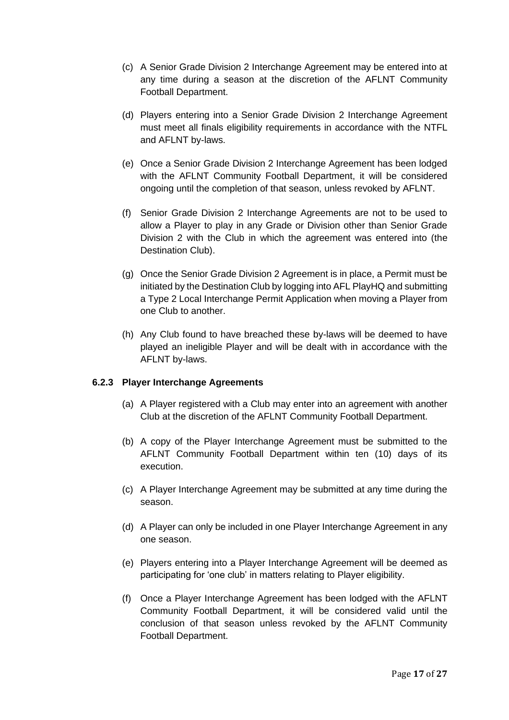- (c) A Senior Grade Division 2 Interchange Agreement may be entered into at any time during a season at the discretion of the AFLNT Community Football Department.
- (d) Players entering into a Senior Grade Division 2 Interchange Agreement must meet all finals eligibility requirements in accordance with the NTFL and AFLNT by-laws.
- (e) Once a Senior Grade Division 2 Interchange Agreement has been lodged with the AFLNT Community Football Department, it will be considered ongoing until the completion of that season, unless revoked by AFLNT.
- (f) Senior Grade Division 2 Interchange Agreements are not to be used to allow a Player to play in any Grade or Division other than Senior Grade Division 2 with the Club in which the agreement was entered into (the Destination Club).
- (g) Once the Senior Grade Division 2 Agreement is in place, a Permit must be initiated by the Destination Club by logging into AFL PlayHQ and submitting a Type 2 Local Interchange Permit Application when moving a Player from one Club to another.
- (h) Any Club found to have breached these by-laws will be deemed to have played an ineligible Player and will be dealt with in accordance with the AFLNT by-laws.

### **6.2.3 Player Interchange Agreements**

- (a) A Player registered with a Club may enter into an agreement with another Club at the discretion of the AFLNT Community Football Department.
- (b) A copy of the Player Interchange Agreement must be submitted to the AFLNT Community Football Department within ten (10) days of its execution.
- (c) A Player Interchange Agreement may be submitted at any time during the season.
- (d) A Player can only be included in one Player Interchange Agreement in any one season.
- (e) Players entering into a Player Interchange Agreement will be deemed as participating for 'one club' in matters relating to Player eligibility.
- (f) Once a Player Interchange Agreement has been lodged with the AFLNT Community Football Department, it will be considered valid until the conclusion of that season unless revoked by the AFLNT Community Football Department.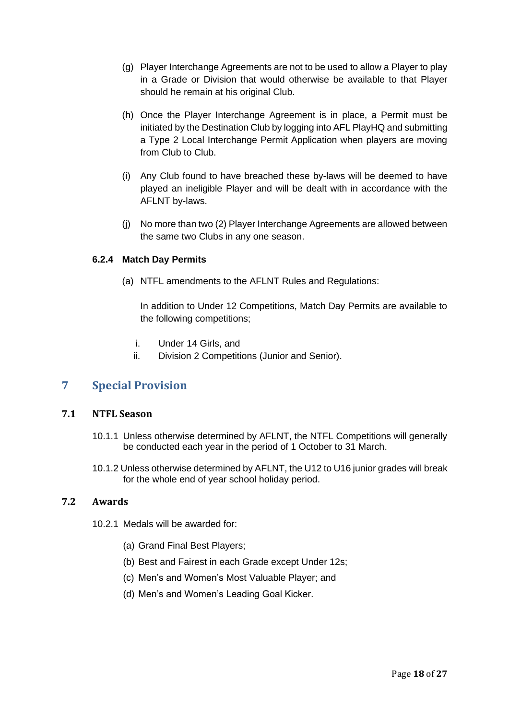- (g) Player Interchange Agreements are not to be used to allow a Player to play in a Grade or Division that would otherwise be available to that Player should he remain at his original Club.
- (h) Once the Player Interchange Agreement is in place, a Permit must be initiated by the Destination Club by logging into AFL PlayHQ and submitting a Type 2 Local Interchange Permit Application when players are moving from Club to Club.
- (i) Any Club found to have breached these by-laws will be deemed to have played an ineligible Player and will be dealt with in accordance with the AFLNT by-laws.
- (j) No more than two (2) Player Interchange Agreements are allowed between the same two Clubs in any one season.

### **6.2.4 Match Day Permits**

(a) NTFL amendments to the AFLNT Rules and Regulations:

In addition to Under 12 Competitions, Match Day Permits are available to the following competitions;

- i. Under 14 Girls, and
- ii. Division 2 Competitions (Junior and Senior).

### <span id="page-17-0"></span>**7 Special Provision**

### <span id="page-17-1"></span>**7.1 NTFL Season**

- 10.1.1 Unless otherwise determined by AFLNT, the NTFL Competitions will generally be conducted each year in the period of 1 October to 31 March.
- 10.1.2 Unless otherwise determined by AFLNT, the U12 to U16 junior grades will break for the whole end of year school holiday period.

### <span id="page-17-2"></span>**7.2 Awards**

- 10.2.1 Medals will be awarded for:
	- (a) Grand Final Best Players;
	- (b) Best and Fairest in each Grade except Under 12s;
	- (c) Men's and Women's Most Valuable Player; and
	- (d) Men's and Women's Leading Goal Kicker.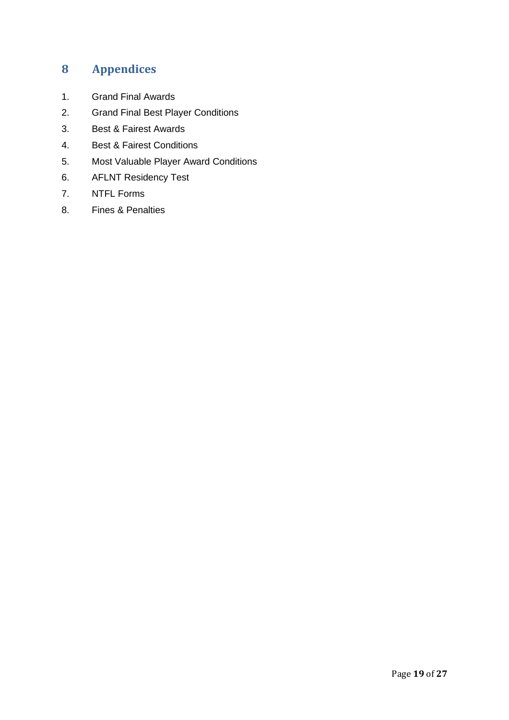# <span id="page-18-0"></span>**8 Appendices**

- 1. Grand Final Awards
- 2. Grand Final Best Player Conditions
- 3. Best & Fairest Awards
- 4. Best & Fairest Conditions
- 5. Most Valuable Player Award Conditions
- 6. AFLNT Residency Test
- 7. NTFL Forms
- 8. Fines & Penalties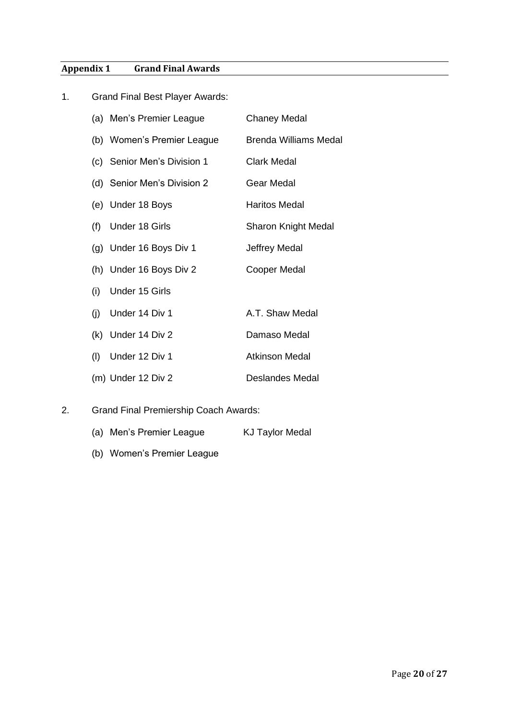# **Appendix 1 Grand Final Awards**

| 1. | <b>Grand Final Best Player Awards:</b> |                              |  |  |  |
|----|----------------------------------------|------------------------------|--|--|--|
|    | (a) Men's Premier League               | <b>Chaney Medal</b>          |  |  |  |
|    | (b) Women's Premier League             | <b>Brenda Williams Medal</b> |  |  |  |
|    | (c) Senior Men's Division 1            | <b>Clark Medal</b>           |  |  |  |
|    | (d) Senior Men's Division 2            | Gear Medal                   |  |  |  |
|    | (e) Under 18 Boys                      | <b>Haritos Medal</b>         |  |  |  |
|    | <b>Under 18 Girls</b><br>(f)           | <b>Sharon Knight Medal</b>   |  |  |  |
|    | (g) Under 16 Boys Div 1                | Jeffrey Medal                |  |  |  |
|    | (h) Under 16 Boys Div 2                | <b>Cooper Medal</b>          |  |  |  |
|    | Under 15 Girls<br>(i)                  |                              |  |  |  |
|    | Under 14 Div 1<br>(i)                  | A.T. Shaw Medal              |  |  |  |
|    | (k) Under 14 Div 2                     | Damaso Medal                 |  |  |  |
|    | Under 12 Div 1<br>(1)                  | <b>Atkinson Medal</b>        |  |  |  |
|    | (m) Under 12 Div 2                     | <b>Deslandes Medal</b>       |  |  |  |

- 2. Grand Final Premiership Coach Awards:
	- (a) Men's Premier League KJ Taylor Medal
	- (b) Women's Premier League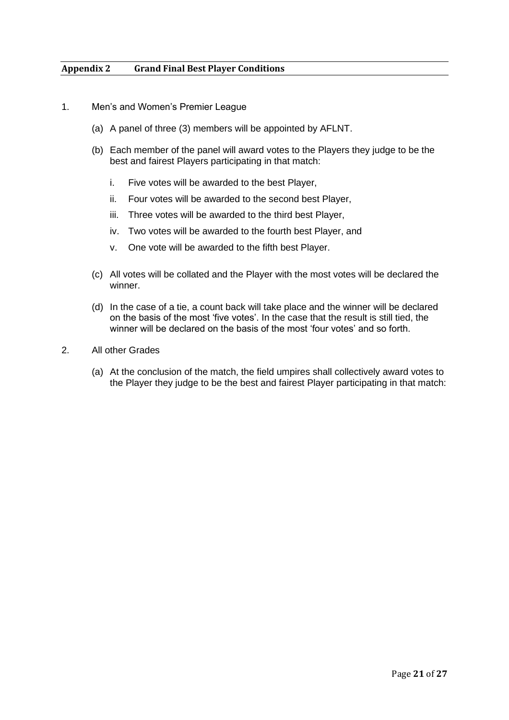### **Appendix 2 Grand Final Best Player Conditions**

- 1. Men's and Women's Premier League
	- (a) A panel of three (3) members will be appointed by AFLNT.
	- (b) Each member of the panel will award votes to the Players they judge to be the best and fairest Players participating in that match:
		- i. Five votes will be awarded to the best Player,
		- ii. Four votes will be awarded to the second best Player,
		- iii. Three votes will be awarded to the third best Player,
		- iv. Two votes will be awarded to the fourth best Player, and
		- v. One vote will be awarded to the fifth best Player.
	- (c) All votes will be collated and the Player with the most votes will be declared the winner.
	- (d) In the case of a tie, a count back will take place and the winner will be declared on the basis of the most 'five votes'. In the case that the result is still tied, the winner will be declared on the basis of the most 'four votes' and so forth.
- 2. All other Grades
	- (a) At the conclusion of the match, the field umpires shall collectively award votes to the Player they judge to be the best and fairest Player participating in that match: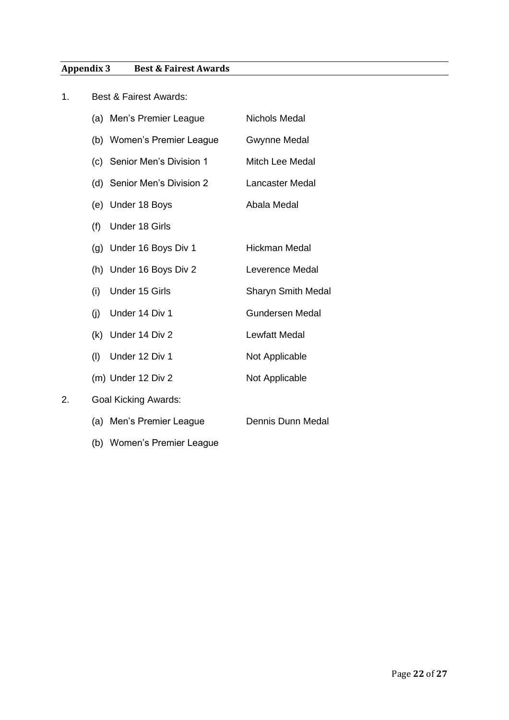## **Appendix 3 Best & Fairest Awards**

| 1. | <b>Best &amp; Fairest Awards:</b> |                             |                           |  |  |
|----|-----------------------------------|-----------------------------|---------------------------|--|--|
|    |                                   | (a) Men's Premier League    | <b>Nichols Medal</b>      |  |  |
|    |                                   | (b) Women's Premier League  | <b>Gwynne Medal</b>       |  |  |
|    |                                   | (c) Senior Men's Division 1 | <b>Mitch Lee Medal</b>    |  |  |
|    |                                   | (d) Senior Men's Division 2 | Lancaster Medal           |  |  |
|    | (e)                               | Under 18 Boys               | Abala Medal               |  |  |
|    | (f)                               | <b>Under 18 Girls</b>       |                           |  |  |
|    |                                   | (g) Under 16 Boys Div 1     | <b>Hickman Medal</b>      |  |  |
|    |                                   | (h) Under 16 Boys Div 2     | Leverence Medal           |  |  |
|    | (i)                               | Under 15 Girls              | <b>Sharyn Smith Medal</b> |  |  |
|    | (i)                               | Under 14 Div 1              | <b>Gundersen Medal</b>    |  |  |
|    |                                   | (k) Under 14 Div 2          | <b>Lewfatt Medal</b>      |  |  |
|    | (1)                               | Under 12 Div 1              | Not Applicable            |  |  |
|    |                                   | (m) Under 12 Div 2          | Not Applicable            |  |  |
| 2. |                                   | <b>Goal Kicking Awards:</b> |                           |  |  |
|    |                                   | (a) Men's Premier League    | Dennis Dunn Medal         |  |  |
|    |                                   | (b) Women's Premier League  |                           |  |  |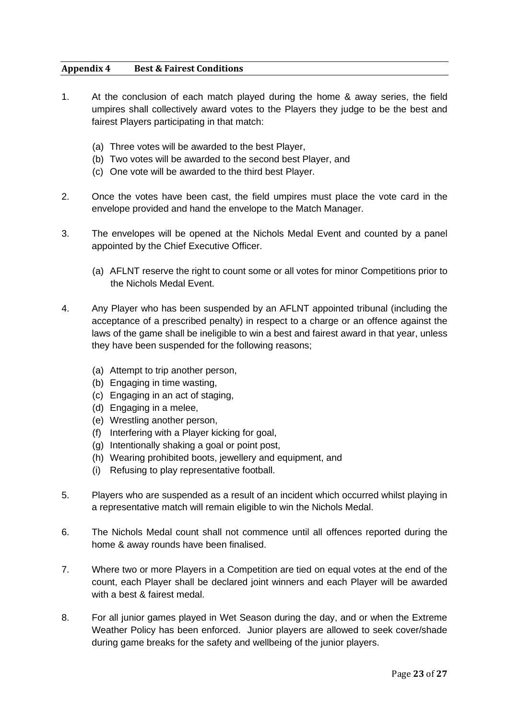### **Appendix 4 Best & Fairest Conditions**

- 1. At the conclusion of each match played during the home & away series, the field umpires shall collectively award votes to the Players they judge to be the best and fairest Players participating in that match:
	- (a) Three votes will be awarded to the best Player,
	- (b) Two votes will be awarded to the second best Player, and
	- (c) One vote will be awarded to the third best Player.
- 2. Once the votes have been cast, the field umpires must place the vote card in the envelope provided and hand the envelope to the Match Manager.
- 3. The envelopes will be opened at the Nichols Medal Event and counted by a panel appointed by the Chief Executive Officer.
	- (a) AFLNT reserve the right to count some or all votes for minor Competitions prior to the Nichols Medal Event.
- 4. Any Player who has been suspended by an AFLNT appointed tribunal (including the acceptance of a prescribed penalty) in respect to a charge or an offence against the laws of the game shall be ineligible to win a best and fairest award in that year, unless they have been suspended for the following reasons;
	- (a) Attempt to trip another person,
	- (b) Engaging in time wasting,
	- (c) Engaging in an act of staging,
	- (d) Engaging in a melee,
	- (e) Wrestling another person,
	- (f) Interfering with a Player kicking for goal,
	- (g) Intentionally shaking a goal or point post,
	- (h) Wearing prohibited boots, jewellery and equipment, and
	- (i) Refusing to play representative football.
- 5. Players who are suspended as a result of an incident which occurred whilst playing in a representative match will remain eligible to win the Nichols Medal.
- 6. The Nichols Medal count shall not commence until all offences reported during the home & away rounds have been finalised.
- 7. Where two or more Players in a Competition are tied on equal votes at the end of the count, each Player shall be declared joint winners and each Player will be awarded with a best & fairest medal.
- 8. For all junior games played in Wet Season during the day, and or when the Extreme Weather Policy has been enforced. Junior players are allowed to seek cover/shade during game breaks for the safety and wellbeing of the junior players.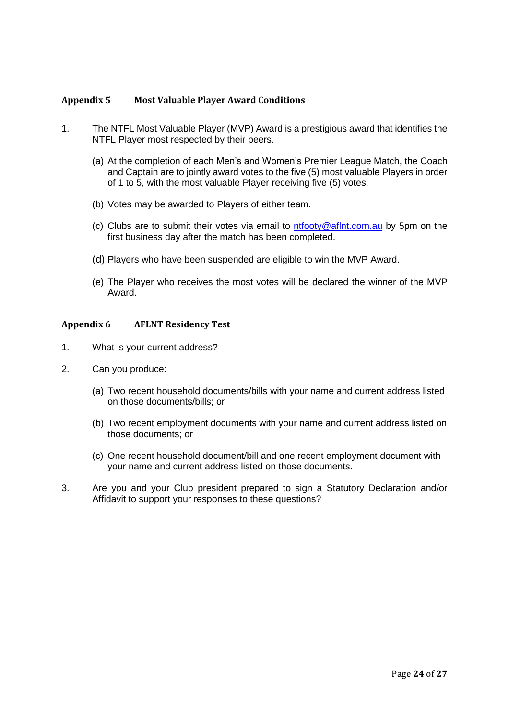#### **Appendix 5 Most Valuable Player Award Conditions**

- 1. The NTFL Most Valuable Player (MVP) Award is a prestigious award that identifies the NTFL Player most respected by their peers.
	- (a) At the completion of each Men's and Women's Premier League Match, the Coach and Captain are to jointly award votes to the five (5) most valuable Players in order of 1 to 5, with the most valuable Player receiving five (5) votes.
	- (b) Votes may be awarded to Players of either team.
	- (c) Clubs are to submit their votes via email to  $ntfooty@afInt.com.au$  by 5pm on the first business day after the match has been completed.
	- (d) Players who have been suspended are eligible to win the MVP Award.
	- (e) The Player who receives the most votes will be declared the winner of the MVP Award.

#### **Appendix 6 AFLNT Residency Test**

- 1. What is your current address?
- 2. Can you produce:
	- (a) Two recent household documents/bills with your name and current address listed on those documents/bills; or
	- (b) Two recent employment documents with your name and current address listed on those documents; or
	- (c) One recent household document/bill and one recent employment document with your name and current address listed on those documents.
- 3. Are you and your Club president prepared to sign a Statutory Declaration and/or Affidavit to support your responses to these questions?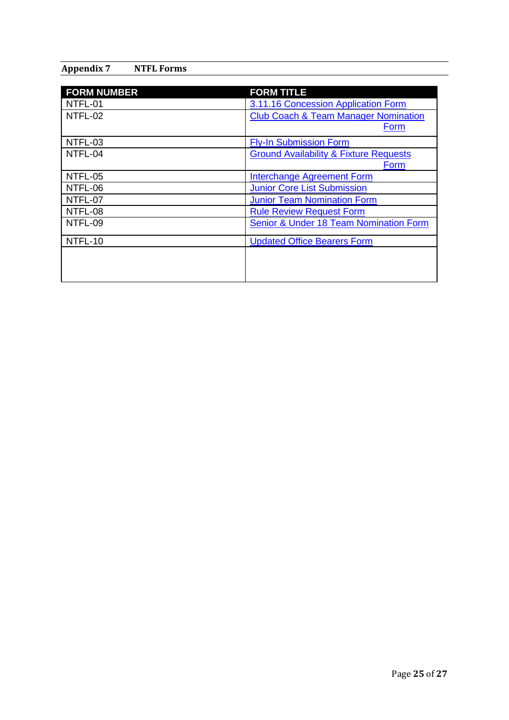### **Appendix 7 NTFL Forms**

| <b>FORM NUMBER</b> | <b>FORM TITLE</b>                                 |
|--------------------|---------------------------------------------------|
| NTFL-01            | 3.11.16 Concession Application Form               |
| NTFL-02            | <b>Club Coach &amp; Team Manager Nomination</b>   |
|                    | Form                                              |
| NTFL-03            | <b>Fly-In Submission Form</b>                     |
| NTFL-04            | <b>Ground Availability &amp; Fixture Requests</b> |
|                    | Form                                              |
| NTFL-05            | Interchange Agreement Form                        |
| NTFL-06            | <b>Junior Core List Submission</b>                |
| NTFL-07            | <b>Junior Team Nomination Form</b>                |
| NTFL-08            | <b>Rule Review Request Form</b>                   |
| NTFL-09            | Senior & Under 18 Team Nomination Form            |
| NTFL-10            | <b>Updated Office Bearers Form</b>                |
|                    |                                                   |
|                    |                                                   |
|                    |                                                   |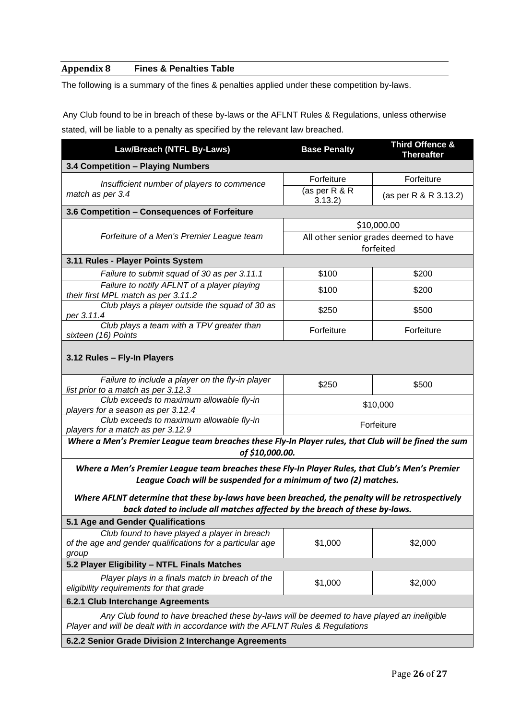### **Appendix 8 Fines & Penalties Table**

The following is a summary of the fines & penalties applied under these competition by-laws.

Any Club found to be in breach of these by-laws or the AFLNT Rules & Regulations, unless otherwise stated, will be liable to a penalty as specified by the relevant law breached.

| Law/Breach (NTFL By-Laws)                                                                                                                                                      | <b>Base Penalty</b>                                 | Third Offence &<br><b>Thereafter</b> |  |  |
|--------------------------------------------------------------------------------------------------------------------------------------------------------------------------------|-----------------------------------------------------|--------------------------------------|--|--|
| 3.4 Competition - Playing Numbers                                                                                                                                              |                                                     |                                      |  |  |
| Insufficient number of players to commence                                                                                                                                     | Forfeiture                                          | Forfeiture                           |  |  |
| match as per 3.4                                                                                                                                                               | (as per R & R<br>3.13.2)                            | (as per R & R 3.13.2)                |  |  |
| 3.6 Competition - Consequences of Forfeiture                                                                                                                                   |                                                     |                                      |  |  |
|                                                                                                                                                                                | \$10,000.00                                         |                                      |  |  |
| Forfeiture of a Men's Premier League team                                                                                                                                      | All other senior grades deemed to have<br>forfeited |                                      |  |  |
| 3.11 Rules - Player Points System                                                                                                                                              |                                                     |                                      |  |  |
| Failure to submit squad of 30 as per 3.11.1                                                                                                                                    | \$100                                               | \$200                                |  |  |
| Failure to notify AFLNT of a player playing<br>their first MPL match as per 3.11.2                                                                                             | \$100                                               | \$200                                |  |  |
| Club plays a player outside the squad of 30 as<br>per 3.11.4                                                                                                                   | \$250                                               | \$500                                |  |  |
| Club plays a team with a TPV greater than<br>sixteen (16) Points                                                                                                               | Forfeiture                                          | Forfeiture                           |  |  |
| 3.12 Rules - Fly-In Players                                                                                                                                                    |                                                     |                                      |  |  |
| Failure to include a player on the fly-in player<br>list prior to a match as per 3.12.3                                                                                        | \$250                                               | \$500                                |  |  |
| Club exceeds to maximum allowable fly-in<br>players for a season as per 3.12.4                                                                                                 | \$10,000                                            |                                      |  |  |
| Club exceeds to maximum allowable fly-in<br>Forfeiture<br>players for a match as per 3.12.9                                                                                    |                                                     |                                      |  |  |
| Where a Men's Premier League team breaches these Fly-In Player rules, that Club will be fined the sum<br>of \$10,000.00.                                                       |                                                     |                                      |  |  |
| Where a Men's Premier League team breaches these Fly-In Player Rules, that Club's Men's Premier<br>League Coach will be suspended for a minimum of two (2) matches.            |                                                     |                                      |  |  |
| Where AFLNT determine that these by-laws have been breached, the penalty will be retrospectively<br>back dated to include all matches affected by the breach of these by-laws. |                                                     |                                      |  |  |
| 5.1 Age and Gender Qualifications                                                                                                                                              |                                                     |                                      |  |  |
| Club found to have played a player in breach<br>of the age and gender qualifications for a particular age<br>group                                                             | \$1,000                                             | \$2,000                              |  |  |
| 5.2 Player Eligibility - NTFL Finals Matches                                                                                                                                   |                                                     |                                      |  |  |
| Player plays in a finals match in breach of the<br>eligibility requirements for that grade                                                                                     | \$1,000                                             | \$2,000                              |  |  |
| 6.2.1 Club Interchange Agreements                                                                                                                                              |                                                     |                                      |  |  |
| Any Club found to have breached these by-laws will be deemed to have played an ineligible<br>Player and will be dealt with in accordance with the AFLNT Rules & Regulations    |                                                     |                                      |  |  |

**6.2.2 Senior Grade Division 2 Interchange Agreements**